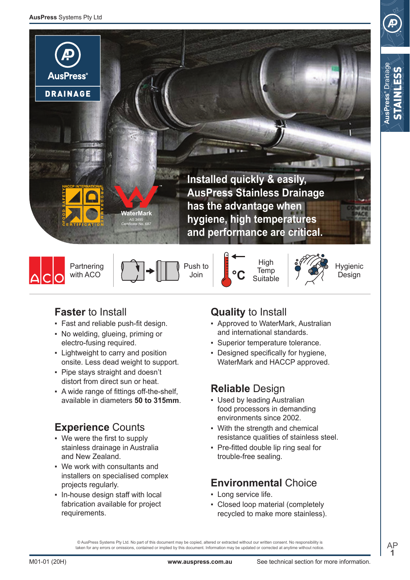







Push to Join

High **Temp Suitable** 



Hygienic Design

**AusPress®** Drainage STAINLESS

**AusPress**<sup>®</sup> Draina

# **Faster** to Install

- Fast and reliable push-fit design.
- No welding, glueing, priming or electro-fusing required.
- Lightweight to carry and position onsite. Less dead weight to support.
- Pipe stays straight and doesn't distort from direct sun or heat.
- A wide range of fittings off-the-shelf, available in diameters **50 to 315mm**.

# **Experience** Counts

- We were the first to supply stainless drainage in Australia and New Zealand.
- ƒ We work with consultants and installers on specialised complex projects regularly.
- In-house design staff with local fabrication available for project requirements.

# **Quality** to Install

- Approved to WaterMark, Australian and international standards.
- **Superior temperature tolerance.**
- Designed specifically for hygiene. WaterMark and HACCP approved.

# **Reliable** Design

- Used by leading Australian food processors in demanding environments since 2002.
- With the strength and chemical resistance qualities of stainless steel.
- Pre-fitted double lip ring seal for trouble-free sealing.

# **Environmental** Choice

- Long service life.
- Closed loop material (completely recycled to make more stainless).

 $@$  AusPress Systems Pty Ltd. No part of this document may be copied, altered or extracted without our written consent. No responsibility is taken for any errors or omissions, contained or implied by this document. Information may be updated or corrected at anytime without notice. AP **1**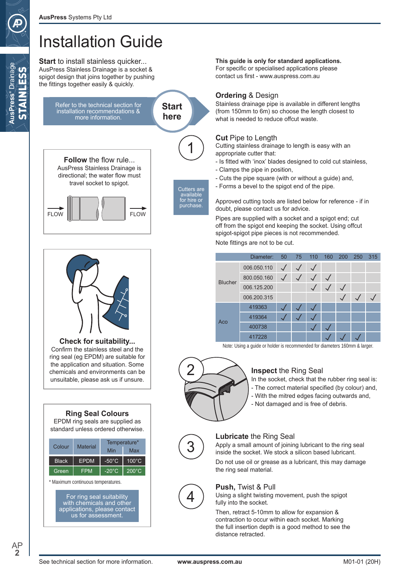**AusPress®** Drainage STAINLESS

**AusPress®** Drainage **AINTESS** 

# Installation Guide

**Start** to install stainless quicker... AusPress Stainless Drainage is a socket & spigot design that joins together by pushing the fittings together easily & quickly.

> Refer to the technical section for installation recommendations & more information.



Cutters are available for hire or purchase.

**Follow** the flow rule... AusPress Stainless Drainage is directional; the water flow must travel socket to spigot.





**Check for suitability...** Confirm the stainless steel and the ring seal (eg EPDM) are suitable for the application and situation. Some chemicals and environments can be unsuitable, please ask us if unsure.



| Colour       | Material    |                 | Temperature*    |
|--------------|-------------|-----------------|-----------------|
|              |             | Min             | Max             |
| <b>Black</b> | <b>EPDM</b> | $-50^{\circ}$ C | $100^{\circ}$ C |
| Green        | FPM         | $-20^{\circ}$ C | $200^{\circ}$ C |
|              |             |                 |                 |

\* Maximum continuous temperatures.

For ring seal suitability with chemicals and other applications, please contact us for assessment.

#### **This guide is only for standard applications.**

For specific or specialised applications please contact us first - www.auspress.com.au

#### **Ordering** & Design

Stainless drainage pipe is available in different lengths (from 150mm to 6m) so choose the length closest to what is needed to reduce offcut waste.

### **Cut** Pipe to Length

Cutting stainless drainage to length is easy with an appropriate cutter that:

- Is fitted with 'inox' blades designed to cold cut stainless,
- Clamps the pipe in position,
- Cuts the pipe square (with or without a guide) and,
- Forms a bevel to the spigot end of the pipe.

Approved cutting tools are listed below for reference - if in doubt, please contact us for advice.

Pipes are supplied with a socket and a spigot end; cut off from the spigot end keeping the socket. Using offcut spigot-spigot pipe pieces is not recommended.

Note fittings are not to be cut.

|                | Diameter:   |  | 50 75 110 160 | 200 | 250 | 315 |
|----------------|-------------|--|---------------|-----|-----|-----|
|                | 006.050.110 |  |               |     |     |     |
| <b>Blucher</b> | 800.050.160 |  |               |     |     |     |
|                | 006.125.200 |  |               |     |     |     |
|                | 006.200.315 |  |               |     |     |     |
|                | 419363      |  |               |     |     |     |
| Aco            | 419364      |  |               |     |     |     |
|                | 400738      |  |               |     |     |     |
|                | 417228      |  |               |     |     |     |

Note: Using a guide or holder is recommended for diameters 160mm & larger.



# **Inspect** the Ring Seal

In the socket, check that the rubber ring seal is: - The correct material specified (by colour) and, - With the mitred edges facing outwards and, - Not damaged and is free of debris.



## **Lubricate** the Ring Seal

Apply a small amount of joining lubricant to the ring seal inside the socket. We stock a silicon based lubricant.

Do not use oil or grease as a lubricant, this may damage the ring seal material.



#### **Push,** Twist & Pull

Using a slight twisting movement, push the spigot fully into the socket.

Then, retract 5-10mm to allow for expansion & contraction to occur within each socket. Marking the full insertion depth is a good method to see the distance retracted.

AP **2**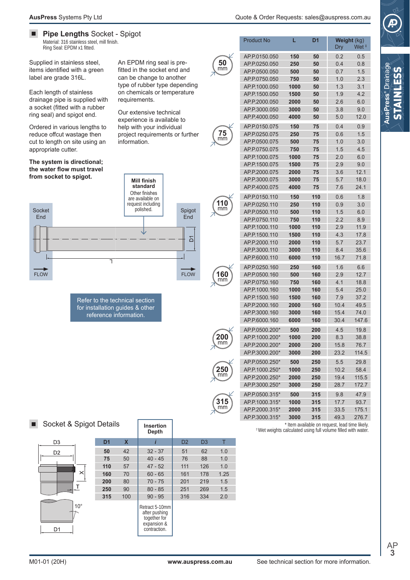AP.P.0150.050 **150 50** 0.2 0.5

Product No **L D1 Weight** (kg)

AP.P.1000.110 **1000 110** 2.9 11.9 AP.P.1500.110 **1500 110** 4.3 17.8 AP.P.2000.110 **2000 110** 5.7 23.7 AP.P.3000.110 **3000 110** 8.4 35.6 AP.P.6000.110 **6000 110** 16.7 71.8 AP.P.0250.160 **250 160** 1.6 6.6 AP.P.0500.160 **500 160** 2.9 12.7 AP.P.0750.160 **750 160** 4.1 18.8 AP.P.1000.160 **1000 160** 5.4 25.0 AP.P.1500.160 **1500 160** 7.9 37.2 AP.P.2000.160 **2000 160** 10.4 49.5 AP.P.3000.160 **3000 160** 15.4 74.0 AP.P.6000.160 **6000 160** 30.4 147.6 AP.P.0500.200\* **500 200** 4.5 19.8 AP.P.1000.200\* **1000 200** 8.3 38.8 AP.P.2000.200\* **2000 200** 15.8 76.7 AP.P.3000.200\* **3000 200** 23.2 114.5 AP.P.0500.250\* **500 250** 5.5 29.8 AP.P.1000.250\* **1000 250** 10.2 58.4 AP.P.2000.250\* **2000 250** 19.4 115.5 AP.P.3000.250\* **3000 250** 28.7 172.7 AP.P.0500.315\* **500 315** 9.8 47.9 AP.P.1000.315\* **1000 315** 17.7 93.7 AP.P.2000.315\* **2000 315** 33.5 175.1 AP.P.3000.315\* **3000 315** 49.3 276.7



# **AusPress®** Drainage STAINLESS

 $\blacksquare$ **Pipe Lengths** Socket - Spigot Material: 316 stainless steel, mill finish. Ring Seal: EPDM x1 fitted.

Supplied in stainless steel, items identified with a green label are grade 316L.

Each length of stainless drainage pipe is supplied with a socket (fitted with a rubber ring seal) and spigot end.

Ordered in various lengths to reduce offcut wastage then cut to length on site using an appropriate cutter.

**The system is directional; the water flow must travel from socket to spigot.**



Refer to the technical section for installation guides & other reference information.

An EPDM ring seal is prefitted in the socket end and can be change to another type of rubber type depending on chemicals or temperature requirements.

Our extensive technical experience is available to help with your individual project requirements or further information.



**50** mm

**75** mm

mm



**315** mm

| Cooket & Chiant Details |  |  |
|-------------------------|--|--|

| D3             |  |
|----------------|--|
| D <sub>2</sub> |  |
|                |  |
|                |  |
| ×              |  |
|                |  |
| T              |  |
|                |  |
| $10^{\circ}$   |  |
|                |  |
|                |  |
| D <sub>1</sub> |  |

| Socket & Spigot Details |              |                |                           | <b>Insertion</b><br>Depth                                                      |                |                |      | * Item available on request, lead time likely.<br><sup>#</sup> Wet weights calculated using full volume filled with water. |
|-------------------------|--------------|----------------|---------------------------|--------------------------------------------------------------------------------|----------------|----------------|------|----------------------------------------------------------------------------------------------------------------------------|
| D <sub>3</sub>          |              | D <sub>1</sub> | $\boldsymbol{\mathsf{x}}$ |                                                                                | D <sub>2</sub> | D <sub>3</sub> |      |                                                                                                                            |
| D <sub>2</sub>          |              | 50             | 42                        | $32 - 37$                                                                      | 51             | 62             | 1.0  |                                                                                                                            |
|                         |              | 75             | 50                        | $40 - 45$                                                                      | 76             | 88             | 1.0  |                                                                                                                            |
|                         |              | 110            | 57                        | $47 - 52$                                                                      | 111            | 126            | 1.0  |                                                                                                                            |
|                         | $\times$     | 160            | 70                        | $60 - 65$                                                                      | 161            | 178            | 1.25 |                                                                                                                            |
|                         |              | 200            | 80                        | $70 - 75$                                                                      | 201            | 219            | 1.5  |                                                                                                                            |
|                         |              | 250            | 90                        | $80 - 85$                                                                      | 251            | 269            | 1.5  |                                                                                                                            |
|                         |              | 315            | 100                       | $90 - 95$                                                                      | 316            | 334            | 2.0  |                                                                                                                            |
| D <sub>1</sub>          | $10^{\circ}$ |                |                           | Retract 5-10mm<br>after pushing<br>together for<br>expansion &<br>contraction. |                |                |      |                                                                                                                            |

| AP.P.0250.050 | 250  | 50  | 0.4 | 0.8  |
|---------------|------|-----|-----|------|
| AP.P.0500.050 | 500  | 50  | 0.7 | 1.5  |
| AP.P.0750.050 | 750  | 50  | 1.0 | 2.3  |
| AP.P.1000.050 | 1000 | 50  | 1.3 | 3.1  |
| AP.P.1500.050 | 1500 | 50  | 1.9 | 4.2  |
| AP.P.2000.050 | 2000 | 50  | 2.6 | 6.0  |
| AP.P.3000.050 | 3000 | 50  | 3.8 | 9.0  |
| AP.P.4000.050 | 4000 | 50  | 5.0 | 12.0 |
| AP.P.0150.075 | 150  | 75  | 04  | 0.9  |
| AP.P.0250.075 | 250  | 75  | 0.6 | 1.5  |
| AP.P.0500.075 | 500  | 75  | 1.0 | 3.0  |
| AP.P.0750.075 | 750  | 75  | 1.5 | 4.5  |
| AP.P.1000.075 | 1000 | 75  | 2.0 | 6.0  |
| AP.P.1500.075 | 1500 | 75  | 2.9 | 9.0  |
| AP.P.2000.075 | 2000 | 75  | 3.6 | 12.1 |
| AP.P.3000.075 | 3000 | 75  | 5.7 | 18.0 |
| AP.P.4000.075 | 4000 | 75  | 7.6 | 24.1 |
| AP.P.0150.110 | 150  | 110 | 0.6 | 1.8  |
| AP.P.0250.110 | 250  | 110 | 0.9 | 3.0  |
| AP.P.0500.110 | 500  | 110 | 1.5 | 6.0  |
| AP.P.0750.110 | 750  | 110 | 2.2 | 8.9  |

Dry Wet <sup>‡</sup>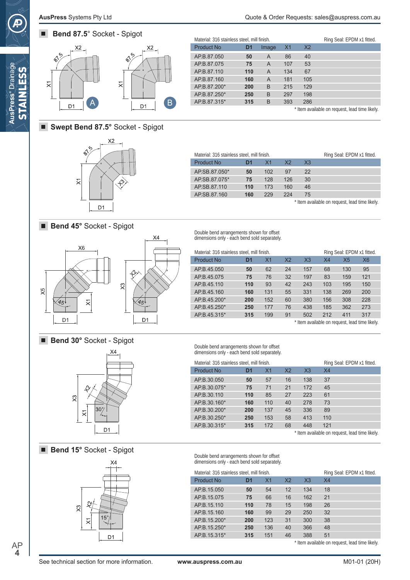# П



| Material: 316 stainless steel, mill finish. |     |       |                |                | Ring Seal: EPDM x1 fitted. |
|---------------------------------------------|-----|-------|----------------|----------------|----------------------------|
| <b>Product No</b>                           | D1  | Image | X <sub>1</sub> | X <sub>2</sub> |                            |
| AP.B.87.050                                 | 50  | A     | 86             | 40             |                            |
| AP.B.87.075                                 | 75  | A     | 107            | 53             |                            |
| AP.B.87.110                                 | 110 | A     | 134            | 67             |                            |
| AP.B.87.160                                 | 160 | A     | 181            | 105            |                            |
| AP.B.87.200*                                | 200 | B     | 215            | 129            |                            |
| AP.B.87.250*                                | 250 | B     | 297            | 198            |                            |
| AP.B.87.315*                                | 315 | B     | 393            | 286            |                            |

\* Item available on request, lead time likely.

## ■ **Swept Bend 87.5°** Socket - Spigot



| Material: 316 stainless steel, mill finish. |     |                |                |                | Ring Seal: EPDM x1 fitted.                     |
|---------------------------------------------|-----|----------------|----------------|----------------|------------------------------------------------|
| <b>Product No</b>                           | DИ  | X <sub>1</sub> | X <sub>2</sub> | X <sub>3</sub> |                                                |
| AP.SB.87.050*                               | 50  | 102            | 97             | 22             |                                                |
| AP.SB.87.075*                               | 75  | 128            | 126            | 30             |                                                |
| AP.SB.87.110                                | 110 | 173            | 160            | 46             |                                                |
| AP.SB.87.160                                | 160 | 229            | 224            | 75             |                                                |
|                                             |     |                |                |                | * Item available on request, lead time likely. |

#### ■ **Bend 45°** Socket - Spigot



Double bend arrangements shown for offset dimensions only - each bend sold separately.

| Material: 316 stainless steel, mill finish. |     |                |                |                |                |                | Ring Seal: EPDM x1 fitted. |
|---------------------------------------------|-----|----------------|----------------|----------------|----------------|----------------|----------------------------|
| <b>Product No</b>                           | D1  | X <sub>1</sub> | X <sub>2</sub> | X <sub>3</sub> | X <sub>4</sub> | X <sub>5</sub> | <b>X6</b>                  |
| AP.B.45.050                                 | 50  | 62             | 24             | 157            | 68             | 130            | 95                         |
| AP.B.45.075                                 | 75  | 76             | 32             | 197            | 83             | 159            | 121                        |
| AP.B.45.110                                 | 110 | 93             | 42             | 243            | 103            | 195            | 150                        |
| AP.B.45.160                                 | 160 | 131            | 55             | 331            | 138            | 269            | 200                        |
| AP.B.45.200*                                | 200 | 152            | 60             | 380            | 156            | 308            | 228                        |
| AP.B.45.250*                                | 250 | 177            | 76             | 438            | 185            | 362            | 273                        |
| AP.B.45.315*                                | 315 | 199            | 91             | 502            | 212            | 411            | 317                        |

Material: 316 stainless steel, mill finish. Ring Seal: EPDM x1 fitted.

\* Item available on request, lead time likely.

\* Item available on request, lead time likely.

■ **Bend 30°** Socket - Spigot



■ **Bend 15°** Socket - Spigot



Double bend arrangements shown for offset dimensions only - each bend sold separately.

Double bend arrangements shown for offset dimensions only - each bend sold separately.

AP.B.30.050 **50** 57 16 138 37 AP.B.30.075\* **75** 71 21 172 45 AP.B.30.110 **110** 85 27 223 61 AP.B.30.160\* **160** 110 40 278 73 AP.B.30.200\* **200** 137 45 336 89 AP.B.30.250\* **250** 153 58 413 110 AP.B.30.315\* **315** 172 68 448 121

Product No **D1** X1 X2 X3 X4

| Material: 316 stainless steel, mill finish. |     |                |                |                | Ring Seal: EPDM x1 fitted. |
|---------------------------------------------|-----|----------------|----------------|----------------|----------------------------|
| <b>Product No</b>                           | D1  | X <sub>1</sub> | X <sub>2</sub> | X <sub>3</sub> | X4                         |
| AP.B.15.050                                 | 50  | 54             | 12             | 134            | 18                         |
| AP.B.15.075                                 | 75  | 66             | 16             | 162            | 21                         |
| AP.B.15.110                                 | 110 | 78             | 15             | 198            | 26                         |
| AP.B.15.160                                 | 160 | 99             | 29             | 250            | 32                         |
| AP.B.15.200*                                | 200 | 123            | 31             | 300            | 38                         |
| AP.B.15.250*                                | 250 | 136            | 40             | 366            | 48                         |
| AP.B.15.315*                                | 315 | 151            | 46             | 388            | 51                         |

\* Item available on request, lead time likely.

AP **4**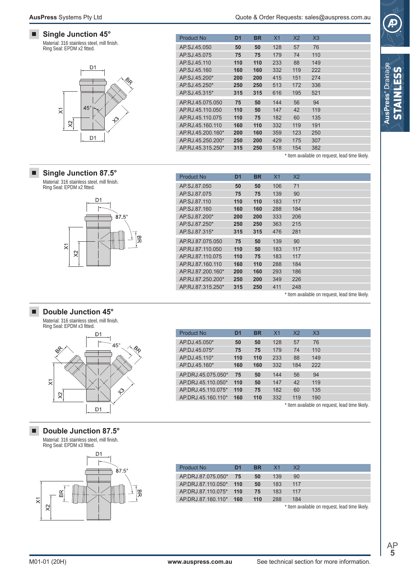#### $\blacksquare$ **Single Junction 45°**

Material: 316 stainless steel, mill finish. Ring Seal: EPDM x2 fitted.



#### **Single Junction 87.5°**

 $\blacksquare$ 

Material: 316 stainless steel, mill finish. Ring Seal: EPDM x2 fitted.



#### AP.SJ.87.050 **50 50** 106 71 AP.SJ.87.075 **75 75** 139 90 AP.SJ.87.110 **110 110** 183 117 AP.SJ.87.160 **160 160** 288 184 AP.SJ.87.200\* **200 200** 333 206 AP.SJ.87.250\* **250 250** 363 215 AP.SJ.87.315\* **315 315** 476 281 AP.RJ.87.075.050 **75 50** 139 90 AP.RJ.87.110.050 **110 50** 183 117 AP.RJ.87.110.075 **110 75** 183 117 AP.RJ.87.160.110 **160 110** 288 184 AP.RJ.87.200.160\* **200 160** 293 186 AP.RJ.87.250.200\* **250 200** 349 226 AP.RJ.87.315.250\* **315 250** 411 248 Product No **D1 BR** X1 X2

AP.DJ.45.050\* **50 50** 128 57 76 AP.DJ.45.075\* **75 75** 179 74 110 AP.DJ.45.110\* **110 110** 233 88 149

Product No **D1 BR** X1 X2 X3

AP.SJ.45.050 **50 50** 128 57 76 AP.SJ.45.075 **75 75** 179 74 110 AP.SJ.45.110 **110 110** 233 88 149 AP.SJ.45.160 **160 160** 332 119 222 AP.SJ.45.200\* **200 200** 415 151 274 AP.SJ.45.250\* **250 250** 513 172 336 AP.SJ.45.315\* **315 315** 616 195 521 AP.RJ.45.075.050 **75 50** 144 56 94 AP.RJ.45.110.050 **110 50** 147 42 119 AP.RJ.45.110.075 **110 75** 182 60 135 AP.RJ.45.160.110 **160 110** 332 119 191 AP.RJ.45.200.160\* **200 160** 359 123 250 AP.RJ.45.250.200\* **250 200** 429 175 307 AP.RJ.45.315.250\* **315 250** 518 154 382

Product No **D1 BR** X1 X2 X3

\* Item available on request, lead time likely.

\* Item available on request, lead time likely.

#### **Double Junction 45°** п

Material: 316 stainless steel, mill finish. Ring Seal: EPDM x3 fitted.



**Double Junction 87.5°**

Material: 316 stainless steel, mill finish. Ring Seal: EPDM x3 fitted.



| AP.DJ.45.160*      | 160 | 160 | 332 | 184 | 222 |                                                |
|--------------------|-----|-----|-----|-----|-----|------------------------------------------------|
| AP.DRJ.45.075.050* | 75  | 50  | 144 | 56  | 94  |                                                |
| AP.DRJ.45.110.050* | 110 | 50  | 147 | 42  | 119 |                                                |
| AP.DRJ.45.110.075* | 110 | 75  | 182 | 60  | 135 |                                                |
| AP.DRJ.45.160.110* | 160 | 110 | 332 | 119 | 190 |                                                |
|                    |     |     |     |     |     | * Item available on request, lead time likely. |
|                    |     |     |     |     |     |                                                |
|                    |     |     |     |     |     |                                                |
|                    |     |     |     |     |     |                                                |

| Product No.            | D1  | <b>BR</b> | - X 1 | X <sub>2</sub> |
|------------------------|-----|-----------|-------|----------------|
| AP.DRJ.87.075.050* 75  |     | 50        | 139   | 90             |
| AP.DRJ.87.110.050*     | 110 | 50        | 183   | 117            |
| AP.DRJ.87.110.075* 110 |     | 75        | 183   | 117            |
| AP DRJ 87 160 110*     | 160 | 110       | 288   | 184            |

\* Item available on request, lead time likely.

п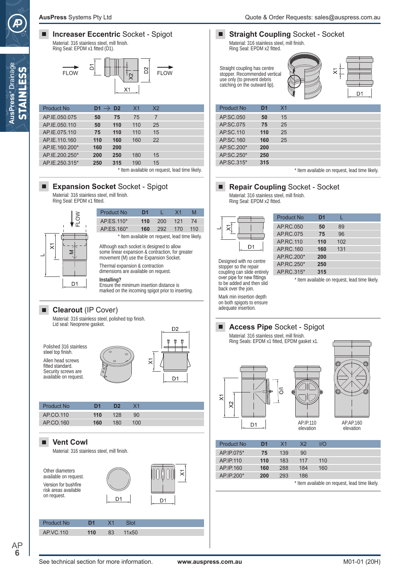

\* Item available on request, lead time likely. AP.IE.250.315\* **250 315** 190 15

## **Expansion Socket Socket - Spigot**

AP.IE.200.250\* **200 250** 180 15

Material: 316 stainless steel, mill finish. Ring Seal: EPDM x1 fitted.



| <b>Product No</b>                                                                                                                       | D1  |     | У1  |     |  |  |
|-----------------------------------------------------------------------------------------------------------------------------------------|-----|-----|-----|-----|--|--|
| AP.ES.110*                                                                                                                              | 110 | 200 | 121 | 74  |  |  |
| AP.ES.160*                                                                                                                              | 160 | 292 | 170 | 110 |  |  |
| * Item available on request, lead time likely.                                                                                          |     |     |     |     |  |  |
| Although each socket is designed to allow<br>some linear expansion & contraction, for greater<br>movement (M) use the Expansion Socket. |     |     |     |     |  |  |
| Thermal expansion & contraction<br>dimensions are available on request.                                                                 |     |     |     |     |  |  |

**Installing?**

Ensure the minimum insertion distance is marked on the incoming spigot prior to inserting.

#### **Clearout** (IP Cover)  $\blacksquare$

Material: 316 stainless steel, polished top finish. Lid seal: Neoprene gasket.



| Product No | D1  | מח  |     |  |
|------------|-----|-----|-----|--|
| AP.CO.110  | 110 | 128 | 90  |  |
| AP.CO.160  | 160 | 180 | 100 |  |

#### п **Vent Cowl**

AP **6**

Material: 316 stainless steel, mill finish.



## **Straight Coupling** Socket - Socket

Material: 316 stainless steel, mill finish. Ring Seal: EPDM x2 fitted.

Straight coupling has centre stopper. Recommended vertical use only (to prevent debris catching on the outward lip).



| <b>Product No</b> | D1  | X <sub>1</sub> |  |  |  |
|-------------------|-----|----------------|--|--|--|
| AP.SC.050         | 50  | 15             |  |  |  |
| AP.SC.075         | 75  | 25             |  |  |  |
| AP.SC.110         | 110 | 25             |  |  |  |
| AP.SC.160         | 160 | 25             |  |  |  |
| AP.SC.200*        | 200 |                |  |  |  |
| AP.SC.250*        | 250 |                |  |  |  |
| AP.SC.315*        | 315 |                |  |  |  |

\* Item available on request, lead time likely.

## **Repair Coupling** Socket - Socket

Material: 316 stainless steel, mill finish. Ring Seal: EPDM x2 fitted.

↸ D<sub>1</sub>

Designed with no centre

| Product No | D1  |     |  |
|------------|-----|-----|--|
| AP.RC.050  | 50  | 89  |  |
| AP.RC.075  | 75  | 96  |  |
| AP.RC.110  | 110 | 102 |  |
| AP.RC. 160 | 160 | 131 |  |
| AP.RC.200* | 200 |     |  |
| AP.RC.250* | 250 |     |  |
| AP.RC.315* | 315 |     |  |

stopper so the repair coupling can slide entirely over pipe for new fittings to be added and then slid back over the join.

\* Item available on request, lead time likely.

Mark min insertion depth on both spigots to ensure adequate insertion.

## **Access Pipe** Socket - Spigot

Material: 316 stainless steel, mill finish. Ring Seals: EPDM x1 fitted, EPDM gasket x1.



AP.AP.160 elevation

| <b>Product No</b> | D1  | X <sub>1</sub> | X <sub>2</sub> | 1/O                                          |  |
|-------------------|-----|----------------|----------------|----------------------------------------------|--|
| AP.IP.075*        | 75  | 139            | 90             |                                              |  |
| AP IP 110         | 110 | 183            | 117            | 110                                          |  |
| AP.IP.160         | 160 | 288            | 184            | 160                                          |  |
| AP.IP.200*        | 200 | 293            | 186            |                                              |  |
|                   |     |                |                | * Itam availahla on raguast Jaad tima likaly |  |

Item available on request, lead time like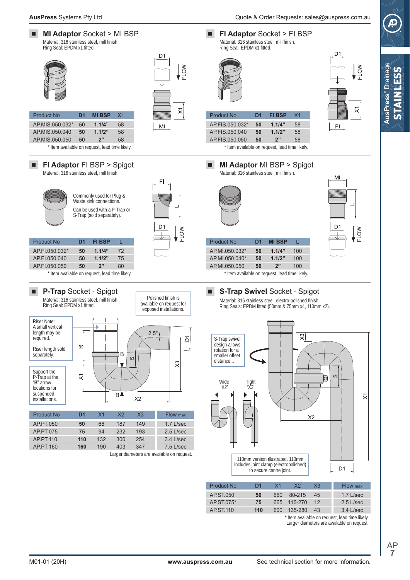

Item available on request, lead time likely. Larger diameters are available on request.

> AP **7**

STAINLESS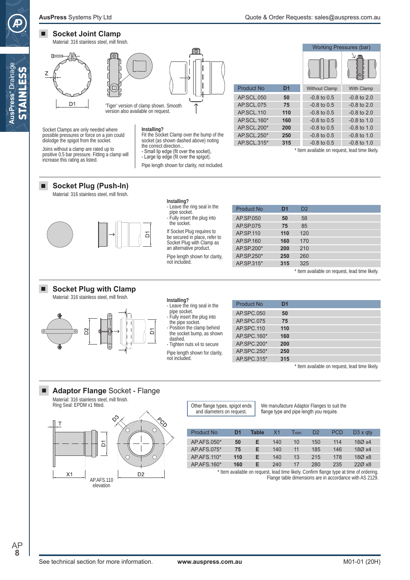#### $\blacksquare$ **Socket Joint Clamp**

**AusPress®** Drainage STAINLESS

**AusPress<sup>®</sup>** Drainage **AIN AESS** 



Socket Clamps are only needed where possible pressures or force on a join could dislodge the spigot from the socket. Joins without a clamp are rated up to positive 0.5 bar pressure. Fitting a clamp will

increase this rating as listed.

#### **Installing?**

Fit the Socket Clamp over the bump of the socket (as shown dashed above) noting the correct direction...

- Small lip edge (fit over the socket), - Large lip edge (fit over the spigot).

Pipe length shown for clarity, not included.

**Installing?**

- Leave the ring seal in the pipe socket. - Fully insert the plug into the socket.

|                | <b>Working Pressures (bar)</b> |                   |  |
|----------------|--------------------------------|-------------------|--|
|                |                                | ſ©<br>C           |  |
| D <sub>1</sub> | <b>Without Clamp</b>           | <b>With Clamp</b> |  |
| 50             | $-0.8$ to $0.5$                | $-0.8$ to $2.0$   |  |
| 75             | $-0.8$ to $0.5$                | $-0.8$ to 2.0     |  |
| 110            | $-0.8$ to $0.5$                | $-0.8$ to $2.0$   |  |
| 160            | $-0.8$ to 0.5                  | $-0.8$ to 1.0     |  |
| 200            | $-0.8$ to $0.5$                | $-0.8$ to 1.0     |  |
| 250            | $-0.8$ to $0.5$                | $-0.8$ to 1.0     |  |
| 315            | $-0.8$ to $0.5$                | $-0.8$ to 1.0     |  |
|                |                                |                   |  |

\* Item available on request, lead time likely.

#### **Socket Plug (Push-In)** П

Material: 316 stainless steel, mill finish.



#### П **Socket Plug with Clamp**

Material: 316 stainless steel, mill finish.



If Socket Plug requires to be secured in place, refer to Socket Plug with Clamp as an alternative product. Pipe length shown for clarity, not included.

| Product No. | D <sub>1</sub> | D <sub>2</sub> |  |
|-------------|----------------|----------------|--|
| AP.SP.050   | 50             | 58             |  |
| AP.SP.075   | 75             | 85             |  |
| AP SP 110   | 110            | 120            |  |
| AP SP 160   | 160            | 170            |  |
| AP.SP.200*  | 200            | 210            |  |
| AP.SP.250*  | 250            | 260            |  |
| AP SP 315*  | 315            | 325            |  |

\* Item available on request, lead time likely.

| Installing?                  |  |  |
|------------------------------|--|--|
| - Leave the ring seal in the |  |  |
| pipe socket.                 |  |  |

- Fully insert the plug into

the pipe socket. Position the clamp behind

the socket bump, as shown

dashed. - Tighten nuts x4 to secure

Pipe length shown for clarity, not included.

| Product No. | D <sub>1</sub> |  |
|-------------|----------------|--|
|             |                |  |
| AP.SPC.050  | 50             |  |
|             |                |  |
| AP.SPC.075  | 75             |  |
| AP.SPC.110  | 110            |  |
|             |                |  |
| AP.SPC.160* | 160            |  |
|             |                |  |
| AP.SPC.200* | 200            |  |
|             |                |  |
| AP.SPC.250* | 250            |  |
|             |                |  |
| AP.SPC.315* | 315            |  |
|             |                |  |

\* Item available on request, lead time likely.

#### **Adaptor Flange** Socket - Flange  $\blacksquare$

Material: 316 stainless steel, mill finish. Ring Seal: EPDM x1 fitted.



Other flange types, spigot ends and diameters on request.

We manufacture Adaptor Flanges to suit the flange type and pipe length you require.

| Product No       | DИ  | Table | Χ1  | $\mathsf{I}_{\mathsf{min}}$ | D2  | <b>PCD</b> | $D3 \times q$ ty |
|------------------|-----|-------|-----|-----------------------------|-----|------------|------------------|
| AP AFS 050*      | 50  | Е     | 140 | 10                          | 150 | 114        | 18Ø x4           |
| AP AFS 075*      | 75  | F     | 140 | 11                          | 185 | 146        | 180x4            |
| AP AFS $110*$    | 110 | Е     | 140 | 13                          | 215 | 178        | 18Ø x8           |
| $AP$ AFS 160 $*$ | 160 | F     | 240 | 17                          | 280 | 235        | 220x8            |

\* Item available on request, lead time likely. Confirm flange type at time of ordering. Flange table dimensions are in accordance with AS 2129.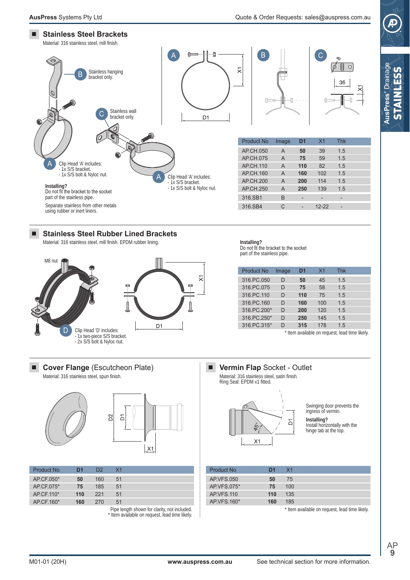

**AusPress®** Drainage STAINLESS

**AusPress<sup>®</sup>** Drainad







| Product No. | D1  | D2  | X <sub>1</sub> |  |
|-------------|-----|-----|----------------|--|
| AP.CF.050*  | 50  | 160 | 51             |  |
| AP.CF.075*  | 75  | 185 | 51             |  |
| AP.CF.110*  | 110 | 221 | 51             |  |
| AP.CF.160*  | 160 | 270 | 51             |  |

Pipe length shown for clarity, not included. \* Item available on request, lead time likely.



Swinging door prevents the ingress of vermin.

**Installing?** Install horizontally with the

hinge tab at the top.

| Product No        | D1  | X <sub>1</sub> |
|-------------------|-----|----------------|
| AP VFS 050        | 50  | 75             |
| AP.VFS.075*       | 75  | 100            |
| <b>AP VFS.110</b> | 110 | 135            |
| AP VFS 160*       | 160 | 185            |

\* Item available on request, lead time likely.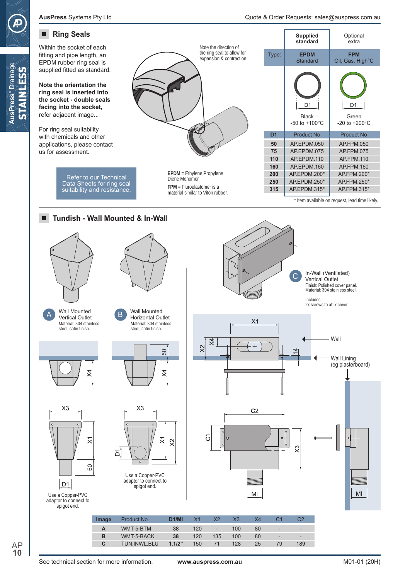Within the socket of each fitting and pipe length, an EPDM rubber ring seal is supplied fitted as standard.

**Note the orientation the ring seal is inserted into the socket - double seals facing into the socket,**  refer adjacent image...

**AusPress®** Drainage STAINLESS

AusPress<sup>®</sup> Drainage **STAINLESS** 

For ring seal suitability with chemicals and other applications, please contact us for assessment.

> Refer to our Technical Data Sheets for ring seal suitability and resistance.



| <b>EPDM</b> = Ethylene Propylene<br>Diene Monomer                |
|------------------------------------------------------------------|
| $FPM = Fluroelastomer$ is a<br>material similar to Viton rubber. |

|                | <b>Supplied</b><br>standard                   | Optional<br>extra                        |
|----------------|-----------------------------------------------|------------------------------------------|
| Type:          | <b>EPDM</b><br>Standard                       | <b>FPM</b><br>Oil, Gas, High°C           |
|                | D1<br><b>Black</b><br>-50 to $+100^{\circ}$ C | D1<br>Green<br>$-20$ to $+200^{\circ}$ C |
| D <sub>1</sub> | <b>Product No</b>                             | <b>Product No</b>                        |
| 50             | AP.EPDM.050                                   | AP.FPM.050                               |
| 75             | AP.EPDM.075                                   | AP.FPM.075                               |
| 110            | AP.EPDM.110                                   | <b>AP FPM 110</b>                        |
| 160            | AP.EPDM.160                                   | <b>AP FPM 160</b>                        |
| 200            | AP.EPDM.200*                                  | AP.FPM.200*                              |
| 250            | AP.EPDM.250*                                  | AP.FPM.250*                              |
| 315            | AP.EPDM.315*                                  | AP.FPM.315*                              |

\* Item available on request, lead time likely.

In-Wall (Ventilated) Vertical Outlet





Material: 304 stainless steel, satin finish.











D<sub>1</sub>

 $X<sub>3</sub>$ 



 $MI$ 

C

|  | M <sub>l</sub> |  |
|--|----------------|--|

| Image | <b>Product No</b>   | D <sub>1</sub> /MI |     |                          | X3  | X4 |                          |     |
|-------|---------------------|--------------------|-----|--------------------------|-----|----|--------------------------|-----|
| А     | WMT-5-BTM           | 38                 | 120 | $\overline{\phantom{a}}$ | 100 | 80 | $\overline{\phantom{a}}$ | -   |
| в     | WMT-5-BACK          | 38                 | 120 | 135                      | 100 | 80 | $\overline{\phantom{a}}$ | -   |
| С     | <b>TUN.INWL.BLU</b> | 1.1/2"             | 150 |                          | 128 | 25 | 79                       | 189 |
|       |                     |                    |     |                          |     |    |                          |     |

 $\overline{\times}$ 

80

٦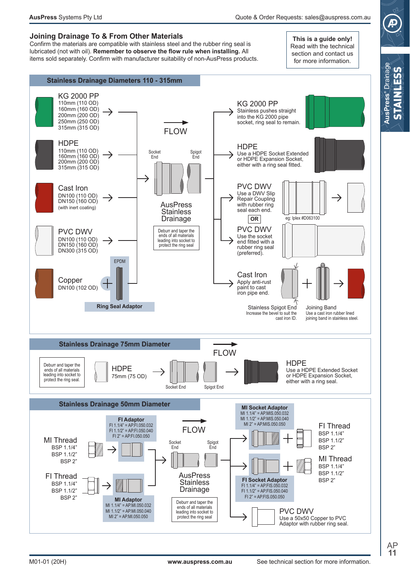## **Joining Drainage To & From Other Materials**

Confirm the materials are compatible with stainless steel and the rubber ring seal is lubricated (not with oil). Remember to observe the flow rule when installing. All items sold separately. Confirm with manufacturer suitability of non-AusPress products.

This is a quide only! Read with the technical section and contact us for more information.